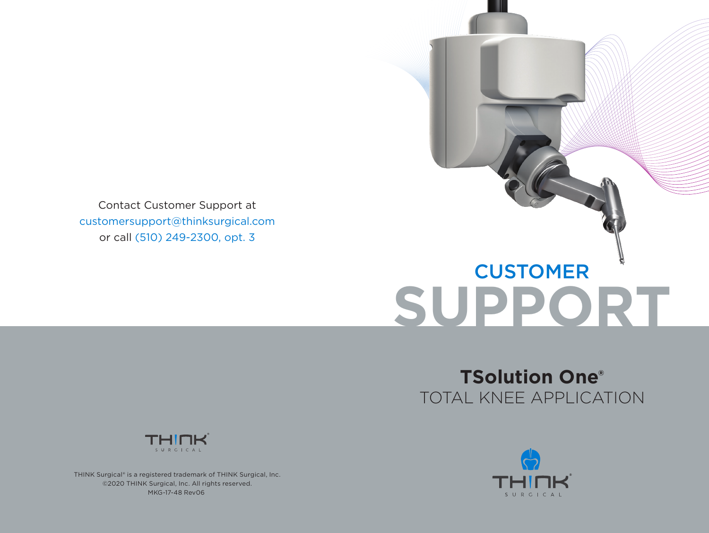Contact Customer Support at customersupport@thinksurgical.com or call (510) 249-2300, opt. 3

# **SUPPORT CUSTOMER**

# **TSolution One®** TOTAL KNEE APPLICATION



THINK Surgical® is a registered trademark of THINK Surgical, Inc. ©2020 THINK Surgical, Inc. All rights reserved. MKG-17-48 Rev06